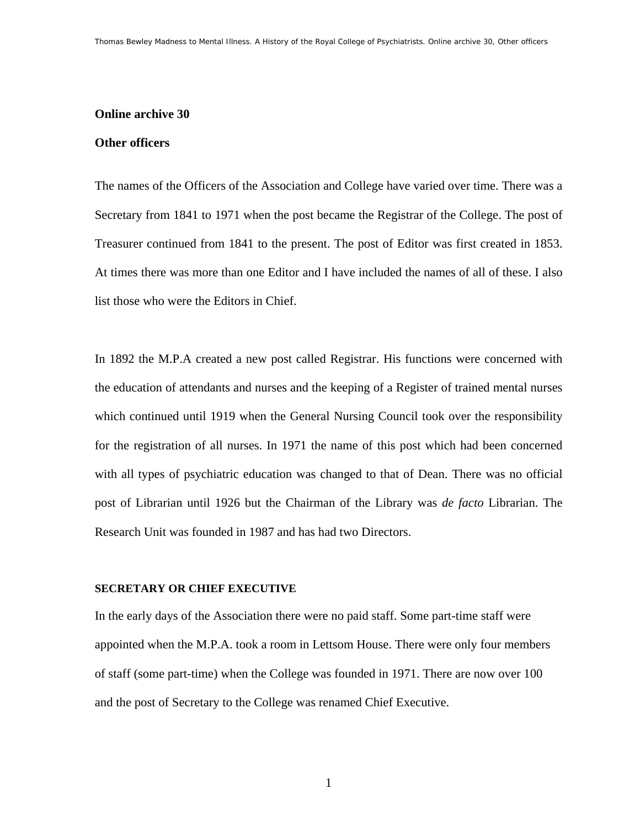#### **Online archive 30**

#### **Other officers**

The names of the Officers of the Association and College have varied over time. There was a Secretary from 1841 to 1971 when the post became the Registrar of the College. The post of Treasurer continued from 1841 to the present. The post of Editor was first created in 1853. At times there was more than one Editor and I have included the names of all of these. I also list those who were the Editors in Chief.

In 1892 the M.P.A created a new post called Registrar. His functions were concerned with the education of attendants and nurses and the keeping of a Register of trained mental nurses which continued until 1919 when the General Nursing Council took over the responsibility for the registration of all nurses. In 1971 the name of this post which had been concerned with all types of psychiatric education was changed to that of Dean. There was no official post of Librarian until 1926 but the Chairman of the Library was *de facto* Librarian. The Research Unit was founded in 1987 and has had two Directors.

#### **SECRETARY OR CHIEF EXECUTIVE**

In the early days of the Association there were no paid staff. Some part-time staff were appointed when the M.P.A. took a room in Lettsom House. There were only four members of staff (some part-time) when the College was founded in 1971. There are now over 100 and the post of Secretary to the College was renamed Chief Executive.

1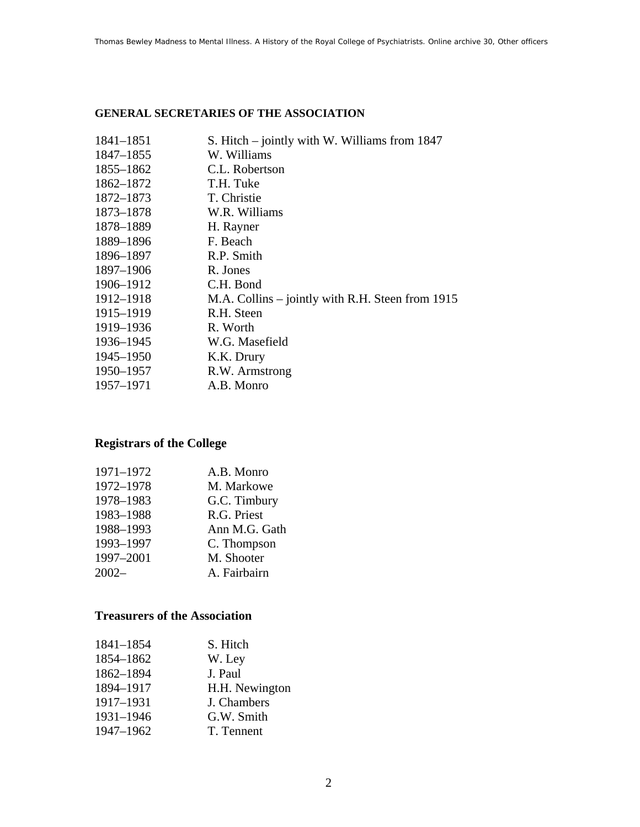### **GENERAL SECRETARIES OF THE ASSOCIATION**

| 1841-1851 | S. Hitch – jointly with W. Williams from 1847    |
|-----------|--------------------------------------------------|
| 1847–1855 | W. Williams                                      |
| 1855-1862 | C.L. Robertson                                   |
| 1862–1872 | T.H. Tuke                                        |
| 1872-1873 | T. Christie                                      |
| 1873-1878 | W.R. Williams                                    |
| 1878-1889 | H. Rayner                                        |
| 1889-1896 | F. Beach                                         |
| 1896–1897 | R.P. Smith                                       |
| 1897-1906 | R. Jones                                         |
| 1906-1912 | C.H. Bond                                        |
| 1912–1918 | M.A. Collins – jointly with R.H. Steen from 1915 |
| 1915-1919 | R.H. Steen                                       |
| 1919–1936 | R. Worth                                         |
| 1936-1945 | W.G. Masefield                                   |
| 1945–1950 | K.K. Drury                                       |
| 1950–1957 | R.W. Armstrong                                   |
| 1957–1971 | A.B. Monro                                       |

## **Registrars of the College**

| 1971-1972 | A.B. Monro    |
|-----------|---------------|
| 1972-1978 | M. Markowe    |
| 1978-1983 | G.C. Timbury  |
| 1983-1988 | R.G. Priest   |
| 1988-1993 | Ann M.G. Gath |
| 1993-1997 | C. Thompson   |
| 1997-2001 | M. Shooter    |
| $2002 -$  | A. Fairbairn  |

### **Treasurers of the Association**

| 1841-1854 | S. Hitch       |
|-----------|----------------|
| 1854-1862 | W. Ley         |
| 1862-1894 | J. Paul        |
| 1894-1917 | H.H. Newington |
| 1917-1931 | J. Chambers    |
| 1931-1946 | G.W. Smith     |
| 1947-1962 | T. Tennent     |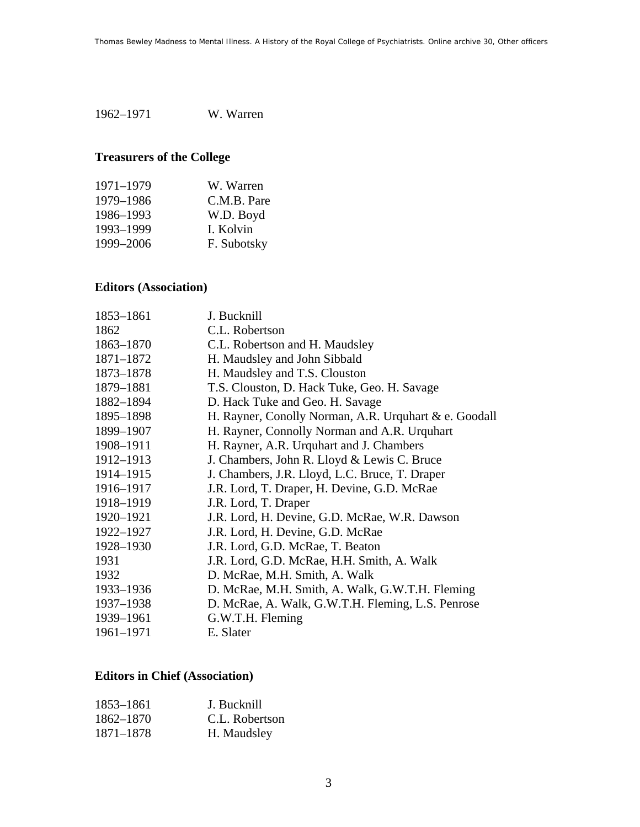1962–1971 W. Warren

# **Treasurers of the College**

| 1971–1979 | W. Warren   |
|-----------|-------------|
| 1979-1986 | C.M.B. Pare |
| 1986-1993 | W.D. Boyd   |
| 1993-1999 | I. Kolvin   |
| 1999-2006 | F. Subotsky |

## **Editors (Association)**

| 1853-1861 | J. Bucknill                                           |
|-----------|-------------------------------------------------------|
| 1862      | C.L. Robertson                                        |
| 1863-1870 | C.L. Robertson and H. Maudsley                        |
| 1871-1872 | H. Maudsley and John Sibbald                          |
| 1873-1878 | H. Maudsley and T.S. Clouston                         |
| 1879-1881 | T.S. Clouston, D. Hack Tuke, Geo. H. Savage           |
| 1882-1894 | D. Hack Tuke and Geo. H. Savage                       |
| 1895-1898 | H. Rayner, Conolly Norman, A.R. Urquhart & e. Goodall |
| 1899-1907 | H. Rayner, Connolly Norman and A.R. Urquhart          |
| 1908-1911 | H. Rayner, A.R. Urquhart and J. Chambers              |
| 1912-1913 | J. Chambers, John R. Lloyd & Lewis C. Bruce           |
| 1914-1915 | J. Chambers, J.R. Lloyd, L.C. Bruce, T. Draper        |
| 1916-1917 | J.R. Lord, T. Draper, H. Devine, G.D. McRae           |
| 1918-1919 | J.R. Lord, T. Draper                                  |
| 1920-1921 | J.R. Lord, H. Devine, G.D. McRae, W.R. Dawson         |
| 1922-1927 | J.R. Lord, H. Devine, G.D. McRae                      |
| 1928-1930 | J.R. Lord, G.D. McRae, T. Beaton                      |
| 1931      | J.R. Lord, G.D. McRae, H.H. Smith, A. Walk            |
| 1932      | D. McRae, M.H. Smith, A. Walk                         |
| 1933-1936 | D. McRae, M.H. Smith, A. Walk, G.W.T.H. Fleming       |
| 1937–1938 | D. McRae, A. Walk, G.W.T.H. Fleming, L.S. Penrose     |
| 1939-1961 | G.W.T.H. Fleming                                      |
| 1961-1971 | E. Slater                                             |

## **Editors in Chief (Association)**

| 1853–1861 | J. Bucknill    |
|-----------|----------------|
| 1862–1870 | C.L. Robertson |
| 1871–1878 | H. Maudsley    |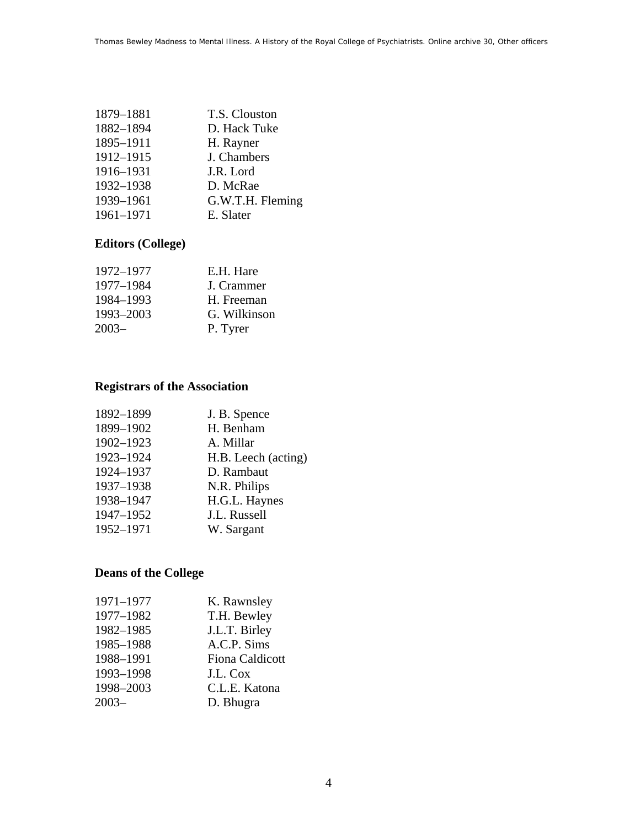| 1879-1881 | T.S. Clouston    |
|-----------|------------------|
| 1882-1894 | D. Hack Tuke     |
| 1895-1911 | H. Rayner        |
| 1912-1915 | J. Chambers      |
| 1916-1931 | J.R. Lord        |
| 1932-1938 | D. McRae         |
| 1939-1961 | G.W.T.H. Fleming |
| 1961-1971 | E. Slater        |
|           |                  |

## **Editors (College)**

| 1972–1977 | E.H. Hare    |
|-----------|--------------|
| 1977–1984 | J. Crammer   |
| 1984-1993 | H. Freeman   |
| 1993-2003 | G. Wilkinson |
| $2003 -$  | P. Tyrer     |

## **Registrars of the Association**

| 1892-1899 | J. B. Spence        |
|-----------|---------------------|
| 1899-1902 | H. Benham           |
| 1902-1923 | A. Millar           |
| 1923-1924 | H.B. Leech (acting) |
| 1924-1937 | D. Rambaut          |
| 1937-1938 | N.R. Philips        |
| 1938-1947 | H.G.L. Haynes       |
| 1947-1952 | J.L. Russell        |
| 1952-1971 | W. Sargant          |
|           |                     |

## **Deans of the College**

| K. Rawnsley            |
|------------------------|
| T.H. Bewley            |
| J.L.T. Birley          |
|                        |
| <b>Fiona Caldicott</b> |
|                        |
| C.L.E. Katona          |
|                        |
| A.C.P. Sims            |